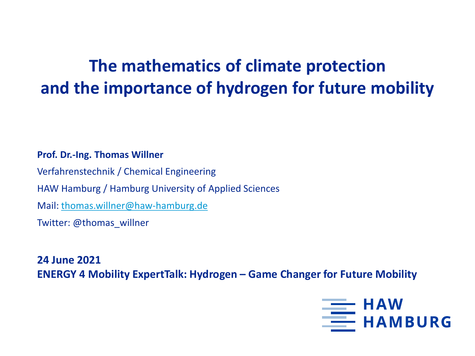# **The mathematics of climate protection and the importance of hydrogen for future mobility**

#### **Prof. Dr.-Ing. Thomas Willner**

Verfahrenstechnik / Chemical Engineering HAW Hamburg / Hamburg University of Applied Sciences Mail: [thomas.willner@haw-hamburg.de](mailto:thomas.willner@haw-hamburg.de) Twitter: @thomas\_willner

**24 June 2021 ENERGY 4 Mobility ExpertTalk: Hydrogen – Game Changer for Future Mobility**

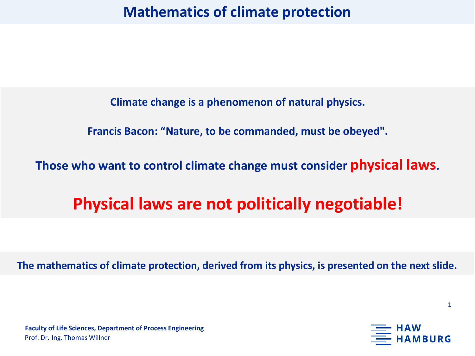**Mathematics of climate protection**

**Climate change is a phenomenon of natural physics.**

**Francis Bacon: "Nature, to be commanded, must be obeyed".**

**Those who want to control climate change must consider physical laws.** 

# **Physical laws are not politically negotiable!**

**The mathematics of climate protection, derived from its physics, is presented on the next slide.**



1

**Faculty of Life Sciences, Department of Process Engineering** Prof. Dr.-Ing. Thomas Willner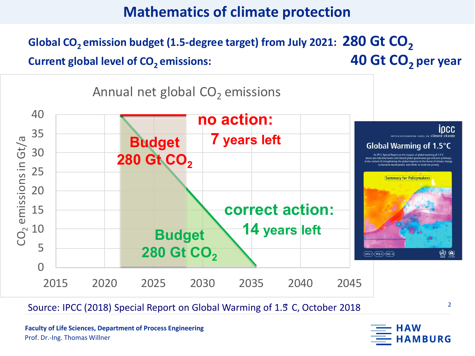## **Mathematics of climate protection**

Global CO<sub>2</sub> emission budget (1.5-degree target) from July 2021: 280 Gt CO<sub>2</sub> **Current global level of CO<sub>2</sub> emissions: 40 Gt CO<sub>2</sub> per year** 



Source: IPCC (2018) Special Report on Global Warming of 1.5° C, October 2018

**Faculty of Life Sciences, Department of Process Engineering** Prof. Dr.-Ing. Thomas Willner

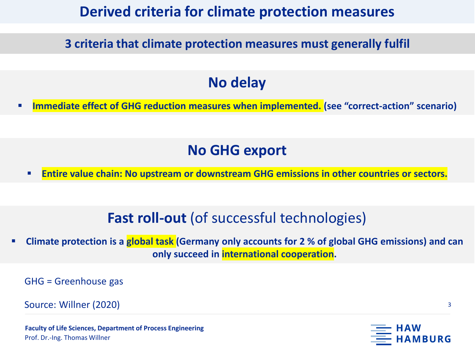## **Derived criteria for climate protection measures**

**3 criteria that climate protection measures must generally fulfil**

## **No delay**

**Immediate effect of GHG reduction measures when implemented. (see "correct-action" scenario)**

## **No GHG export**

**Entire value chain: No upstream or downstream GHG emissions in other countries or sectors.**

## **Fast roll-out** (of successful technologies)

**EXPLEM** Climate protection is a global task (Germany only accounts for 2 % of global GHG emissions) and can **only succeed in international cooperation.**

GHG = Greenhouse gas

Source: Willner (2020)

**Faculty of Life Sciences, Department of Process Engineering** Prof. Dr.-Ing. Thomas Willner



BURG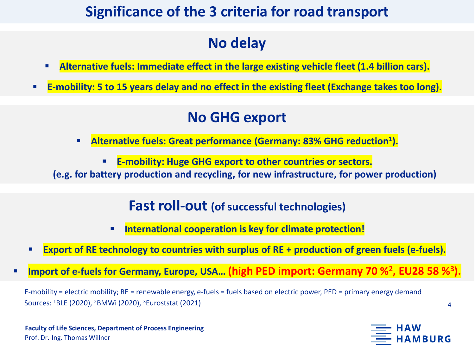## **Significance of the 3 criteria for road transport**

# **No delay**

- **Alternative fuels: Immediate effect in the large existing vehicle fleet (1.4 billion cars).**
- **E-mobility: 5 to 15 years delay and no effect in the existing fleet (Exchange takes too long).**

## **No GHG export**

- **E** Alternative fuels: Great performance (Germany: 83% GHG reduction<sup>1</sup>).
	- **E-mobility: Huge GHG export to other countries or sectors.**

**(e.g. for battery production and recycling, for new infrastructure, for power production)**

## **Fast roll-out (of successful technologies)**

- **International cooperation is key for climate protection!**
- **Export of RE technology to countries with surplus of RE + production of green fuels (e-fuels).**
- Import of e-fuels for Germany, Europe, USA... (high PED import: Germany 70 %<sup>2</sup>, EU28 58 %<sup>3</sup>

E-mobility = electric mobility; RE = renewable energy, e-fuels = fuels based on electric power, PED = primary energy demand Sources: 1BLE (2020), 2BMWi (2020), 3Euroststat (2021)

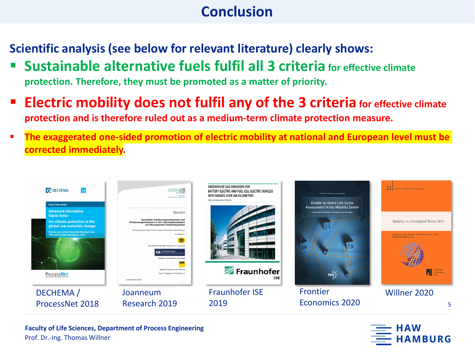## **Conclusion**

**Scientific analysis (see below for relevant literature) clearly shows:**

- **Sustainable alternative fuels fulfil all 3 criteria for effective climate protection. Therefore, they must be promoted as a matter of priority.**
- **Electric mobility does not fulfil any of the 3 criteria for effective climate protection and is therefore ruled out as a medium-term climate protection measure.**
- **The exaggerated one-sided promotion of electric mobility at national and European level must be corrected immediately.**





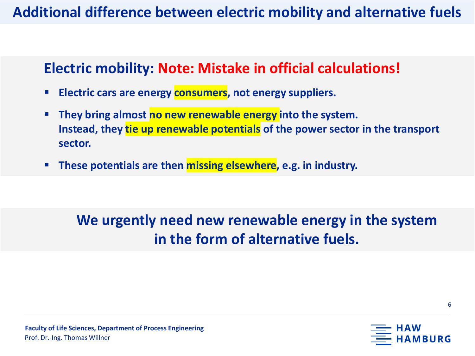## Additional difference between electric mobility and alternative fuels

## **Electric mobility: Note: Mistake in official calculations!**

- **Electric cars are energy consumers, not energy suppliers.**
- **They bring almost no new renewable energy into the system. Instead, they tie up renewable potentials of the power sector in the transport sector.**
- **These potentials are then missing elsewhere**, e.g. in industry.

# **We urgently need new renewable energy in the system in the form of alternative fuels.**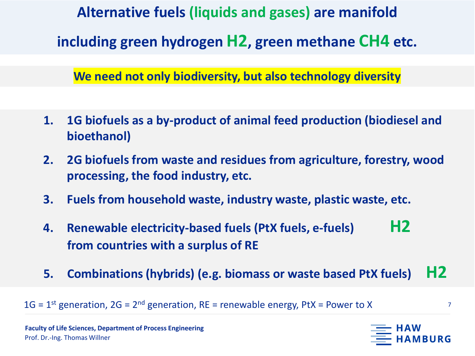**Alternative fuels (liquids and gases) are manifold including green hydrogen H2, green methane CH4 etc.**

**We need not only biodiversity, but also technology diversity**

- **1. 1G biofuels as a by-product of animal feed production (biodiesel and bioethanol)**
- **2. 2G biofuels from waste and residues from agriculture, forestry, wood processing, the food industry, etc.**
- **3. Fuels from household waste, industry waste, plastic waste, etc.**
- **4. Renewable electricity-based fuels (PtX fuels, e-fuels) H2 from countries with a surplus of RE**
- **5. Combinations (hybrids) (e.g. biomass or waste based PtX fuels) H2**

 $1G = 1$ <sup>st</sup> generation,  $2G = 2^{nd}$  generation, RE = renewable energy, PtX = Power to X

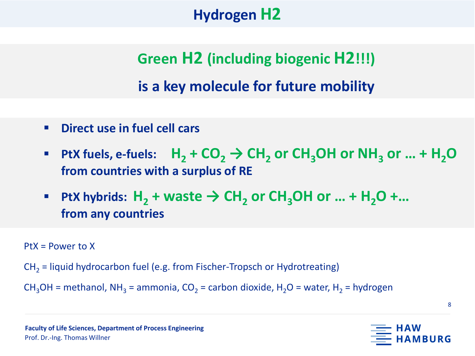# **Alternative fuels (liquids and gases) are manifold and gases (liquids and gases) are manifolder (liquids and gases)**

**Green H2 (including biogenic H2!!!) is a key molecule for future mobility**

- **Direct use in fuel cell cars**
- **PRECALLET FINDS FINDS:** H<sub>2</sub> + CO<sub>2</sub>  $\rightarrow$  CH<sub>2</sub> or CH<sub>3</sub>OH or NH<sub>3</sub> or ... + H<sub>2</sub>O **from countries with a surplus of RE**
- **PtX** hybrids:  $H_2$  + waste  $\rightarrow$  CH<sub>2</sub> or CH<sub>3</sub>OH or ... +  $H_2O$  +... **from any countries**

PtX = Power to X

 $CH<sub>2</sub>$  = liquid hydrocarbon fuel (e.g. from Fischer-Tropsch or Hydrotreating)

CH<sub>3</sub>OH = methanol, NH<sub>3</sub> = ammonia, CO<sub>2</sub> = carbon dioxide, H<sub>2</sub>O = water, H<sub>2</sub> = hydrogen

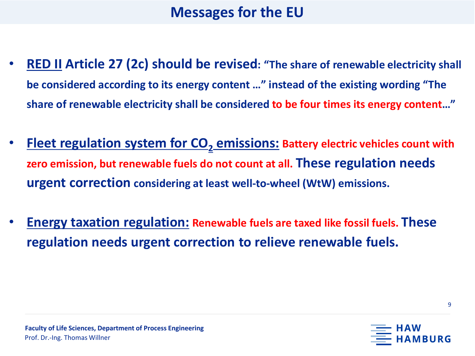## **Messages for the EU**

- **RED II Article 27 (2c) should be revised: "The share of renewable electricity shall be considered according to its energy content …" instead of the existing wording "The share of renewable electricity shall be considered to be four times its energy content…"**
- **Fleet regulation system for CO<sub>2</sub> emissions: Battery electric vehicles count with zero emission, but renewable fuels do not count at all. These regulation needs urgent correction considering at least well-to-wheel (WtW) emissions.**
- **Energy taxation regulation: Renewable fuels are taxed like fossil fuels. These regulation needs urgent correction to relieve renewable fuels.**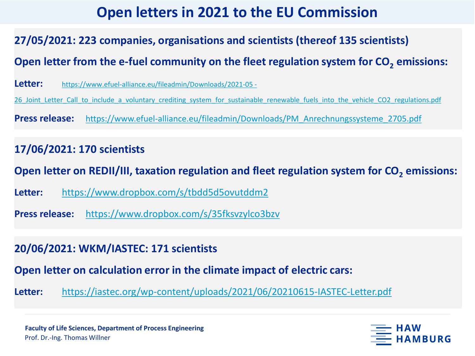## **Open letters in 2021 to the EU Commission**

### **27/05/2021: 223 companies, organisations and scientists (thereof 135 scientists)**

Open letter from the e-fuel community on the fleet regulation system for CO<sub>2</sub> emissions:

**Letter:** https://www.efuel-alliance.eu/fileadmin/Downloads/2021-05 -

26 Joint Letter Call to include a voluntary crediting system for sustainable renewable fuels into the vehicle CO2 regulations.pdf

**Press release:** [https://www.efuel-alliance.eu/fileadmin/Downloads/PM\\_Anrechnungssysteme\\_2705.pdf](https://www.efuel-alliance.eu/fileadmin/Downloads/PM_Anrechnungssysteme_2705.pdf)

### **17/06/2021: 170 scientists**

**Open letter on REDII/III, taxation regulation and fleet regulation system for CO<sub>2</sub> emissions:** 

**Letter:** <https://www.dropbox.com/s/tbdd5d5ovutddm2>

**Press release:** <https://www.dropbox.com/s/35fksvzylco3bzv>

#### **20/06/2021: WKM/IASTEC: 171 scientists**

**Open letter on calculation error in the climate impact of electric cars:**

**Letter:** <https://iastec.org/wp-content/uploads/2021/06/20210615-IASTEC-Letter.pdf>

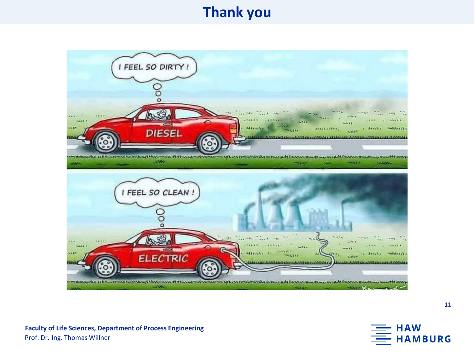## **Thank you**



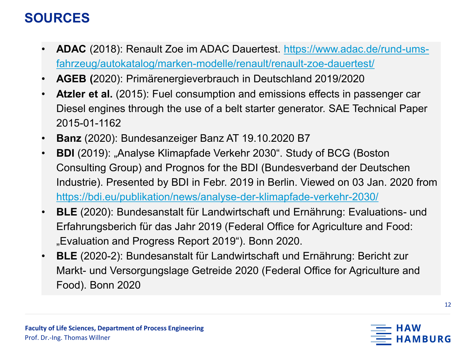- **ADAC** (2018): Renault Zoe im ADAC Dauertest. https://www.adac.de/rund-ums[fahrzeug/autokatalog/marken-modelle/renault/renault-zoe-dauertest/](https://www.adac.de/rund-ums-fahrzeug/autokatalog/marken-modelle/renault/renault-zoe-dauertest/)
- **AGEB (**2020): Primärenergieverbrauch in Deutschland 2019/2020
- Atzler et al. (2015): Fuel consumption and emissions effects in passenger car Diesel engines through the use of a belt starter generator. SAE Technical Paper 2015-01-1162
- **Banz** (2020): Bundesanzeiger Banz AT 19.10.2020 B7
- **BDI** (2019): "Analyse Klimapfade Verkehr 2030". Study of BCG (Boston Consulting Group) and Prognos for the BDI (Bundesverband der Deutschen Industrie). Presented by BDI in Febr. 2019 in Berlin. Viewed on 03 Jan. 2020 from <https://bdi.eu/publikation/news/analyse-der-klimapfade-verkehr-2030/>
- **BLE** (2020): Bundesanstalt für Landwirtschaft und Ernährung: Evaluations- und Erfahrungsberich für das Jahr 2019 (Federal Office for Agriculture and Food: "Evaluation and Progress Report 2019"). Bonn 2020.
- **BLE** (2020-2): Bundesanstalt für Landwirtschaft und Ernährung: Bericht zur Markt- und Versorgungslage Getreide 2020 (Federal Office for Agriculture and Food). Bonn 2020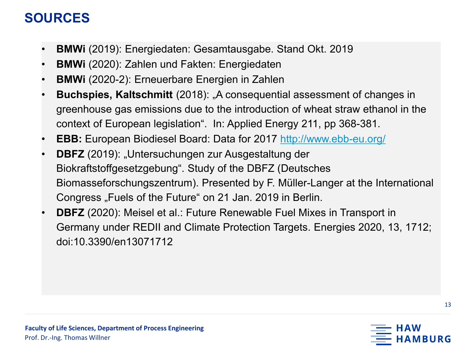- **BMWi** (2019): Energiedaten: Gesamtausgabe. Stand Okt. 2019
- **BMWi** (2020): Zahlen und Fakten: Energiedaten
- **BMWi** (2020-2): Erneuerbare Energien in Zahlen
- **Buchspies, Kaltschmitt** (2018): "A consequential assessment of changes in greenhouse gas emissions due to the introduction of wheat straw ethanol in the context of European legislation". In: Applied Energy 211, pp 368-381.
- **EBB:** European Biodiesel Board: Data for 2017 <http://www.ebb-eu.org/>
- **DBFZ** (2019): "Untersuchungen zur Ausgestaltung der Biokraftstoffgesetzgebung". Study of the DBFZ (Deutsches Biomasseforschungszentrum). Presented by F. Müller-Langer at the International Congress "Fuels of the Future" on 21 Jan. 2019 in Berlin.
- **DBFZ** (2020): Meisel et al.: Future Renewable Fuel Mixes in Transport in Germany under REDII and Climate Protection Targets. Energies 2020, 13, 1712; doi:10.3390/en13071712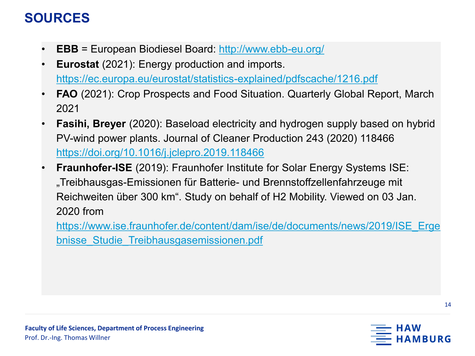- **EBB** = European Biodiesel Board: <http://www.ebb-eu.org/>
- **Eurostat** (2021): Energy production and imports. <https://ec.europa.eu/eurostat/statistics-explained/pdfscache/1216.pdf>
- **FAO** (2021): Crop Prospects and Food Situation. Quarterly Global Report, March 2021
- **Fasihi, Breyer** (2020): Baseload electricity and hydrogen supply based on hybrid PV-wind power plants. Journal of Cleaner Production 243 (2020) 118466 <https://doi.org/10.1016/j.jclepro.2019.118466>
- **Fraunhofer-ISE** (2019): Fraunhofer Institute for Solar Energy Systems ISE: "Treibhausgas-Emissionen für Batterie- und Brennstoffzellenfahrzeuge mit Reichweiten über 300 km". Study on behalf of H2 Mobility. Viewed on 03 Jan. 2020 from

[https://www.ise.fraunhofer.de/content/dam/ise/de/documents/news/2019/ISE\\_Erge](https://www.ise.fraunhofer.de/content/dam/ise/de/documents/news/2019/ISE_Ergebnisse_Studie_Treibhausgasemissionen.pdf) bnisse\_Studie\_Treibhausgasemissionen.pdf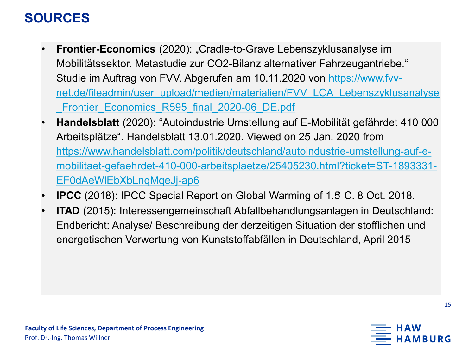- **Frontier-Economics** (2020): "Cradle-to-Grave Lebenszyklusanalyse im Mobilitätssektor. Metastudie zur CO2-Bilanz alternativer Fahrzeugantriebe." Studie im Auftrag von FVV. Abgerufen am 10.11.2020 von https://www.fvv[net.de/fileadmin/user\\_upload/medien/materialien/FVV\\_LCA\\_Lebenszyklusanalyse](https://www.fvv-net.de/fileadmin/user_upload/medien/materialien/FVV_LCA_Lebenszyklusanalyse_Frontier_Economics_R595_final_2020-06_DE.pdf) Frontier Economics R595 final 2020-06 DE.pdf
- **Handelsblatt** (2020): "Autoindustrie Umstellung auf E-Mobilität gefährdet 410 000 Arbeitsplätze". Handelsblatt 13.01.2020. Viewed on 25 Jan. 2020 from https://www.handelsblatt.com/politik/deutschland/autoindustrie-umstellung-auf-e[mobilitaet-gefaehrdet-410-000-arbeitsplaetze/25405230.html?ticket=ST-1893331-](https://www.handelsblatt.com/politik/deutschland/autoindustrie-umstellung-auf-e-mobilitaet-gefaehrdet-410-000-arbeitsplaetze/25405230.html?ticket=ST-1893331-EF0dAeWlEbXbLnqMqeJj-ap6) EF0dAeWlEbXbLnqMqeJj-ap6
- **IPCC** (2018): IPCC Special Report on Global Warming of 1.5° C. 8 Oct. 2018.
- **ITAD** (2015): Interessengemeinschaft Abfallbehandlungsanlagen in Deutschland: Endbericht: Analyse/ Beschreibung der derzeitigen Situation der stofflichen und energetischen Verwertung von Kunststoffabfällen in Deutschland, April 2015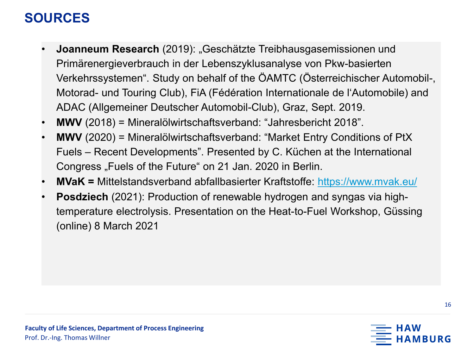- **Joanneum Research** (2019): "Geschätzte Treibhausgasemissionen und Primärenergieverbrauch in der Lebenszyklusanalyse von Pkw-basierten Verkehrssystemen". Study on behalf of the ÖAMTC (Österreichischer Automobil-, Motorad- und Touring Club), FiA (Fédération Internationale de l'Automobile) and ADAC (Allgemeiner Deutscher Automobil-Club), Graz, Sept. 2019.
- **MWV** (2018) = Mineralölwirtschaftsverband: "Jahresbericht 2018".
- **MWV** (2020) = Mineralölwirtschaftsverband: "Market Entry Conditions of PtX Fuels – Recent Developments". Presented by C. Küchen at the International Congress "Fuels of the Future" on 21 Jan. 2020 in Berlin.
- **MVaK =** Mittelstandsverband abfallbasierter Kraftstoffe: <https://www.mvak.eu/>
- **Posdziech** (2021): Production of renewable hydrogen and syngas via hightemperature electrolysis. Presentation on the Heat-to-Fuel Workshop, Güssing (online) 8 March 2021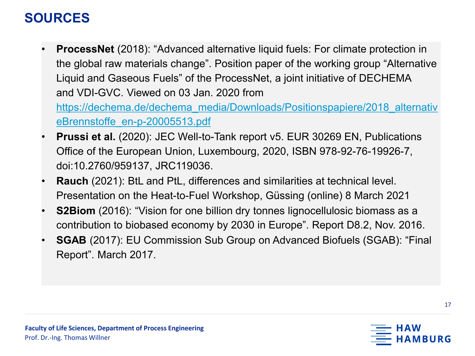**ProcessNet** (2018): "Advanced alternative liquid fuels: For climate protection in the global raw materials change". Position paper of the working group "Alternative Liquid and Gaseous Fuels" of the ProcessNet, a joint initiative of DECHEMA and VDI-GVC. Viewed on 03 Jan. 2020 from

[https://dechema.de/dechema\\_media/Downloads/Positionspapiere/2018\\_alternativ](https://dechema.de/dechema_media/Downloads/Positionspapiere/2018_alternativeBrennstoffe_en-p-20005513.pdf) eBrennstoffe\_en-p-20005513.pdf

- **Prussi et al.** (2020): JEC Well-to-Tank report v5. EUR 30269 EN, Publications Office of the European Union, Luxembourg, 2020, ISBN 978-92-76-19926-7, doi:10.2760/959137, JRC119036.
- **Rauch** (2021): BtL and PtL, differences and similarities at technical level. Presentation on the Heat-to-Fuel Workshop, Güssing (online) 8 March 2021
- **S2Biom** (2016): "Vision for one billion dry tonnes lignocellulosic biomass as a contribution to biobased economy by 2030 in Europe". Report D8.2, Nov. 2016.
- **SGAB** (2017): EU Commission Sub Group on Advanced Biofuels (SGAB): "Final Report". March 2017.